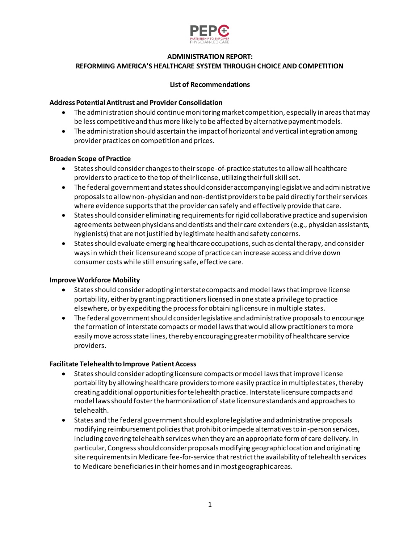

# **ADMINISTRATION REPORT: REFORMING AMERICA'S HEALTHCARE SYSTEM THROUGH CHOICE AND COMPETITION**

# **List of Recommendations**

## **Address Potential Antitrust and Provider Consolidation**

- The administration should continue monitoring market competition, especially in areas that may be less competitive and thus more likely to be affected by alternative payment models.
- The administration should ascertain the impact of horizontal and vertical integration among provider practices on competition and prices.

# **Broaden Scope of Practice**

- States should consider changes to their scope-of-practice statutes to allow all healthcare providers to practice to the top of their license, utilizing their full skill set.
- The federal government and states should consider accompanying legislative and administrative proposals to allow non-physician and non-dentist providers to be paid directly for their services where evidence supports that the provider can safely and effectively provide that care.
- States should consider eliminating requirements for rigid collaborative practice and supervision agreements between physicians and dentists and their care extenders (e.g., physician assistants, hygienists) that are not justified by legitimate health and safety concerns.
- States should evaluate emerging healthcare occupations, such as dental therapy, and consider ways in which their licensure and scope of practice can increase access and drive down consumer costs while still ensuring safe, effective care.

# **Improve Workforce Mobility**

- States should consider adopting interstate compacts and model laws that improve license portability, either by granting practitioners licensed in one state a privilege to practice elsewhere, or by expediting the process for obtaining licensure in multiple states.
- The federal government should consider legislative and administrative proposals to encourage the formation of interstate compacts or model laws that would allow practitioners to more easily move across state lines, thereby encouraging greater mobility of healthcare service providers.

### **Facilitate Telehealth to Improve Patient Access**

- States should consider adopting licensure compacts or model laws that improve license portability by allowing healthcare providers to more easily practice in multiple states, thereby creating additional opportunities for telehealth practice. Interstate licensure compacts and model laws should foster the harmonization of state licensure standards and approaches to telehealth.
- States and the federal government should explore legislative and administrative proposals modifying reimbursement policies that prohibit or impede alternatives to in-person services, including covering telehealth services when they are an appropriate form of care delivery. In particular, Congress should consider proposals modifying geographic location and originating site requirements in Medicare fee-for-service that restrict the availability of telehealth services to Medicare beneficiaries in their homes and in most geographic areas.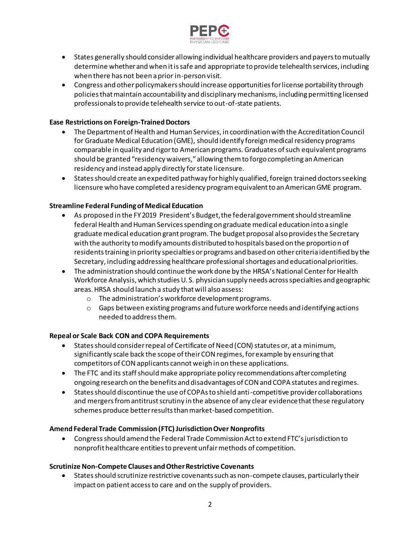

- States generally should consider allowing individual healthcare providers and payers to mutually determine whether and when it is safe and appropriate to provide telehealth services, including when there has not been a prior in-person visit.
- Congress and other policymakers should increase opportunities for license portability through policies that maintain accountability and disciplinary mechanisms, including permitting licensed professionals to provide telehealth service to out-of-state patients.

# **Ease Restrictions on Foreign-Trained Doctors**

- The Department of Health and Human Services, in coordination with the Accreditation Council for Graduate Medical Education (GME), should identify foreign medical residency programs comparable in quality and rigor to American programs. Graduates of such equivalent programs should be granted "residency waivers," allowing them to forgo completing an American residency and instead apply directly for state licensure.
- States should create an expedited pathway for highly qualified, foreign trained doctors seeking licensure who have completed a residency program equivalent to an American GME program.

# **Streamline Federal Funding of Medical Education**

- As proposed in the FY 2019 President's Budget, the federal government should streamline federal Health and Human Services spending on graduate medical education into a single graduate medical education grant program. The budget proposal also provides the Secretary with the authority to modify amounts distributed to hospitals based on the proportion of residents training in priority specialties or programs and based on other criteria identified by the Secretary, including addressing healthcare professional shortages and educational priorities.
- The administration should continue the work done by the HRSA's National Center for Health Workforce Analysis, which studies U. S. physician supply needs across specialties and geographic areas. HRSA should launch a study that will also assess:
	- o The administration's workforce development programs.
	- $\circ$  Gaps between existing programs and future workforce needs and identifying actions needed to address them.

### **Repeal or Scale Back CON and COPA Requirements**

- States should consider repeal of Certificate of Need (CON) statutes or, at a minimum, significantly scale back the scope of their CON regimes, for example by ensuring that competitors of CON applicants cannot weigh in on these applications.
- The FTC and its staff should make appropriate policy recommendations after completing ongoing research on the benefits and disadvantages of CON and COPA statutes and regimes.
- States should discontinue the use of COPAs to shield anti-competitive provider collaborations and mergers from antitrust scrutiny in the absence of any clear evidence that these regulatory schemes produce better results than market-based competition.

### **Amend Federal Trade Commission (FTC) Jurisdiction Over Nonprofits**

 Congress should amend the Federal Trade Commission Act to extend FTC's jurisdiction to nonprofit healthcare entities to prevent unfair methods of competition.

### **Scrutinize Non-Compete Clauses and Other Restrictive Covenants**

 States should scrutinize restrictive covenants such as non-compete clauses, particularly their impact on patient access to care and on the supply of providers.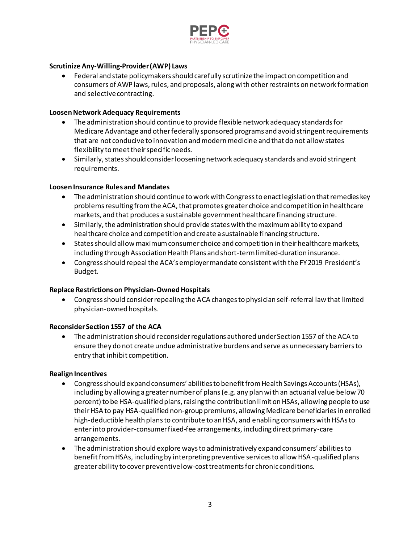

# **Scrutinize Any-Willing-Provider (AWP) Laws**

 Federal and state policymakers should carefully scrutinize the impact on competition and consumers of AWP laws, rules, and proposals, along with other restraints on network formation and selective contracting.

### **Loosen Network Adequacy Requirements**

- The administration should continue to provide flexible network adequacy standards for Medicare Advantage and other federally sponsored programs and avoid stringent requirements that are not conducive to innovation and modern medicine and that do not allow states flexibility to meet their specific needs.
- Similarly, states should consider loosening network adequacy standards and avoid stringent requirements.

### **Loosen Insurance Rules and Mandates**

- The administration should continue to work with Congress to enact legislation that remedies key problems resulting from the ACA, that promotes greater choice and competition in healthcare markets, and that produces a sustainable government healthcare financing structure.
- Similarly, the administration should provide states with the maximum ability to expand healthcare choice and competition and create a sustainable financing structure.
- States should allow maximum consumer choice and competition in their healthcare markets, including through Association Health Plans and short-term limited-duration insurance.
- Congress should repeal the ACA's employer mandate consistent with the FY 2019 President's Budget.

### **Replace Restrictions on Physician-Owned Hospitals**

 Congress should consider repealing the ACA changes to physician self-referral law that limited physician-owned hospitals.

#### **Reconsider Section 1557 of the ACA**

 The administration should reconsider regulations authored under Section 1557 of the ACA to ensure they do not create undue administrative burdens and serve as unnecessary barriers to entry that inhibit competition.

#### **Realign Incentives**

- Congress should expand consumers' abilities to benefit from Health Savings Accounts (HSAs), including by allowing a greater number of plans (e.g. any plan with an actuarial value below 70 percent) to be HSA-qualified plans, raising the contribution limit on HSAs, allowing people to use their HSA to pay HSA-qualified non-group premiums, allowing Medicare beneficiaries in enrolled high-deductible health plans to contribute to an HSA, and enabling consumers with HSAs to enter into provider-consumer fixed-fee arrangements, including direct primary-care arrangements.
- The administration should explore ways to administratively expand consumers' abilities to benefit from HSAs, including by interpreting preventive services to allow HSA-qualified plans greater ability to cover preventive low-cost treatments for chronic conditions.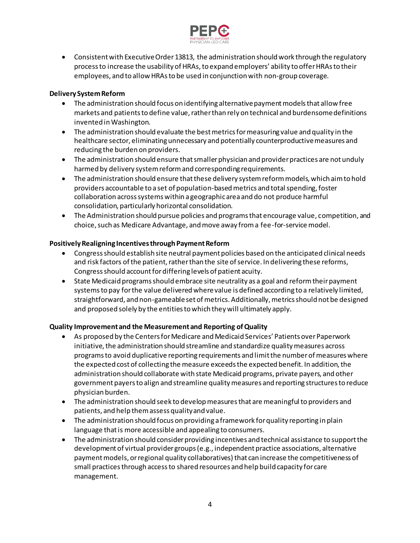

 Consistent with Executive Order 13813, the administration should work through the regulatory process to increase the usability of HRAs, to expand employers' ability to offer HRAs to their employees, and to allow HRAs to be used in conjunction with non-group coverage.

# **Delivery System Reform**

- The administration should focus on identifying alternative payment models that allow free markets and patients to define value, rather than rely on technical and burdensome definitions invented in Washington.
- The administration should evaluate the best metrics for measuring value and quality in the healthcare sector, eliminating unnecessary and potentially counterproductive measures and reducing the burden on providers.
- The administration should ensure that smaller physician and provider practices are not unduly harmed by delivery system reform and corresponding requirements.
- The administration should ensure that these delivery system reform models, which aim to hold providers accountable to a set of population-based metrics and total spending, foster collaboration across systems within a geographic area and do not produce harmful consolidation, particularly horizontal consolidation.
- The Administration should pursue policies and programs that encourage value, competition, and choice, such as Medicare Advantage, and move away from a fee-for-service model.

# **Positively Realigning Incentives through Payment Reform**

- Congress should establish site neutral payment policies based on the anticipated clinical needs and risk factors of the patient, rather than the site of service. In delivering these reforms, Congress should account for differing levels of patient acuity.
- State Medicaid programs should embrace site neutrality as a goal and reform their payment systems to pay for the value delivered where value is defined according to a relatively limited, straightforward, and non-gameable set of metrics. Additionally, metrics should not be designed and proposed solely by the entities to which they will ultimately apply.

### **Quality Improvement and the Measurement and Reporting of Quality**

- As proposed by the Centers for Medicare and Medicaid Services' Patients over Paperwork initiative, the administration should streamline and standardize quality measures across programs to avoid duplicative reporting requirements and limit the number of measures where the expected cost of collecting the measure exceeds the expected benefit. In addition, the administration should collaborate with state Medicaid programs, private payers, and other government payers to align and streamline quality measures and reporting structures to reduce physician burden.
- The administration should seek to develop measures that are meaningful to providers and patients, and help them assess quality and value.
- The administration should focus on providing a framework for quality reporting in plain language that is more accessible and appealing to consumers.
- The administration should consider providing incentives and technical assistance to support the development of virtual provider groups (e.g., independent practice associations, alternative payment models, or regional quality collaboratives) that can increase the competitiveness of small practices through access to shared resources and help build capacity for care management.